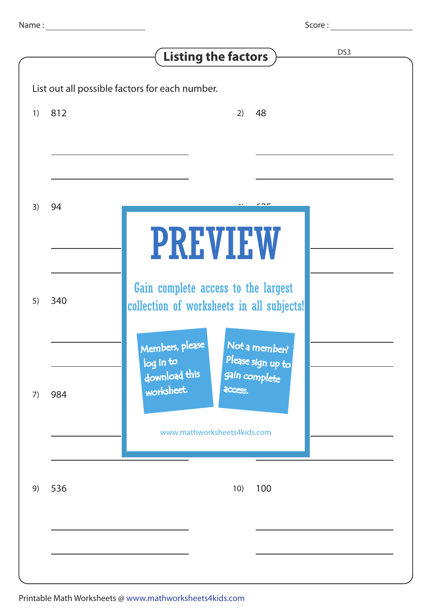|    |     | Score:                                                                           |
|----|-----|----------------------------------------------------------------------------------|
|    |     | DS <sub>3</sub><br><b>Listing the factors</b>                                    |
|    |     | List out all possible factors for each number.                                   |
| 1) | 812 | 48<br>2)                                                                         |
|    |     |                                                                                  |
|    |     |                                                                                  |
|    |     |                                                                                  |
|    |     |                                                                                  |
| 3) | 94  |                                                                                  |
|    |     | <b>PREVIEW</b>                                                                   |
|    |     |                                                                                  |
|    |     |                                                                                  |
| 5) | 340 | Gain complete access to the largest<br>collection of worksheets in all subjects! |
|    |     |                                                                                  |
|    |     | Members, please<br>Not a member?                                                 |
|    |     | Please sign up to<br>log in to                                                   |
| 7) | 984 | download this<br>gain complete<br>worksheet.<br>access.                          |
|    |     |                                                                                  |
|    |     | www.mathworksheets4kids.com                                                      |
|    |     |                                                                                  |
|    |     |                                                                                  |
| 9) | 536 | 10)<br>100                                                                       |
|    |     |                                                                                  |
|    |     |                                                                                  |
|    |     |                                                                                  |